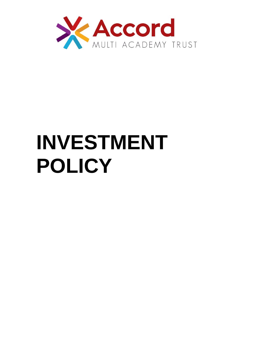

# **INVESTMENT POLICY**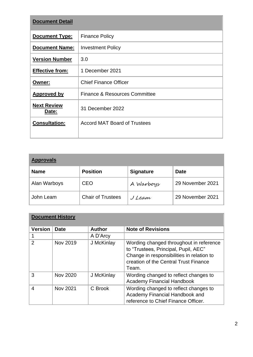| <b>Document Detail</b>      |                                          |  |  |  |
|-----------------------------|------------------------------------------|--|--|--|
| Document Type:              | <b>Finance Policy</b>                    |  |  |  |
| <b>Document Name:</b>       | <b>Investment Policy</b>                 |  |  |  |
| <b>Version Number</b>       | 3.0                                      |  |  |  |
| <b>Effective from:</b>      | 1 December 2021                          |  |  |  |
| Owner:                      | <b>Chief Finance Officer</b>             |  |  |  |
| <b>Approved by</b>          | <b>Finance &amp; Resources Committee</b> |  |  |  |
| <b>Next Review</b><br>Date: | 31 December 2022                         |  |  |  |
| <b>Consultation:</b>        | <b>Accord MAT Board of Trustees</b>      |  |  |  |

| <b>Approvals</b> |                          |                  |                  |  |
|------------------|--------------------------|------------------|------------------|--|
| <b>Name</b>      | <b>Position</b>          | <b>Signature</b> | <b>Date</b>      |  |
| Alan Warboys     | <b>CEO</b>               | A Warboys        | 29 November 2021 |  |
| John Leam        | <b>Chair of Trustees</b> | J Leam           | 29 November 2021 |  |

| <b>Document History</b> |                 |               |                                                                                                                                                                                |  |  |
|-------------------------|-----------------|---------------|--------------------------------------------------------------------------------------------------------------------------------------------------------------------------------|--|--|
| <b>Version</b>          | <b>Date</b>     | <b>Author</b> | <b>Note of Revisions</b>                                                                                                                                                       |  |  |
|                         |                 | A D'Arcy      |                                                                                                                                                                                |  |  |
| $\mathcal{P}$           | Nov 2019        | J McKinlay    | Wording changed throughout in reference<br>to "Trustees, Principal, Pupil, AEC"<br>Change in responsibilities in relation to<br>creation of the Central Trust Finance<br>Team. |  |  |
| 3                       | <b>Nov 2020</b> | J McKinlay    | Wording changed to reflect changes to<br><b>Academy Financial Handbook</b>                                                                                                     |  |  |
| 4                       | <b>Nov 2021</b> | C Brook       | Wording changed to reflect changes to<br>Academy Financial Handbook and<br>reference to Chief Finance Officer.                                                                 |  |  |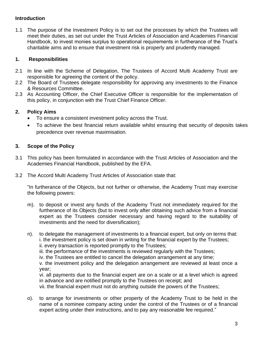## **Introduction**

1.1 The purpose of the Investment Policy is to set out the processes by which the Trustees will meet their duties, as set out under the Trust Articles of Association and Academies Financial Handbook, to invest monies surplus to operational requirements in furtherance of the Trust's charitable aims and to ensure that investment risk is properly and prudently managed.

## **1. Responsibilities**

- 2.1 In line with the Scheme of Delegation, The Trustees of Accord Multi Academy Trust are responsible for agreeing the content of the policy.
- 2.2 The Board of Trustees delegate responsibility for approving any investments to the Finance & Resources Committee.
- 2.3 As Accounting Officer, the Chief Executive Officer is responsible for the implementation of this policy, in conjunction with the Trust Chief Finance Officer.

## **2. Policy Aims**

- To ensure a consistent investment policy across the Trust.
- To achieve the best financial return available whilst ensuring that security of deposits takes precedence over revenue maximisation.

## **3. Scope of the Policy**

- 3.1 This policy has been formulated in accordance with the Trust Articles of Association and the Academies Financial Handbook, published by the EFA.
- 3.2 The Accord Multi Academy Trust Articles of Association state that:

"In furtherance of the Objects, but not further or otherwise, the Academy Trust may exercise the following powers:

- m). to deposit or invest any funds of the Academy Trust not immediately required for the furtherance of its Objects (but to invest only after obtaining such advice from a financial expert as the Trustees consider necessary and having regard to the suitability of investments and the need for diversification);
- n). to delegate the management of investments to a financial expert, but only on terms that: i. the investment policy is set down in writing for the financial expert by the Trustees; ii. every transaction is reported promptly to the Trustees;

iii. the performance of the investments is reviewed regularly with the Trustees;

iv. the Trustees are entitled to cancel the delegation arrangement at any time;

v. the investment policy and the delegation arrangement are reviewed at least once a year;

vi. all payments due to the financial expert are on a scale or at a level which is agreed in advance and are notified promptly to the Trustees on receipt; and

vii. the financial expert must not do anything outside the powers of the Trustees;

o). to arrange for investments or other property of the Academy Trust to be held in the name of a nominee company acting under the control of the Trustees or of a financial expert acting under their instructions, and to pay any reasonable fee required."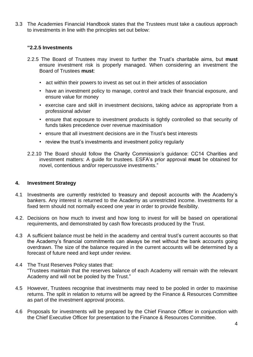3.3 The Academies Financial Handbook states that the Trustees must take a cautious approach to investments in line with the principles set out below:

#### **"2.2.5 Investments**

- 2.2.5 The Board of Trustees may invest to further the Trust's charitable aims, but **must**  ensure investment risk is properly managed. When considering an investment the Board of Trustees **must**:
	- act within their powers to invest as set out in their articles of association
	- have an investment policy to manage, control and track their financial exposure, and ensure value for money
	- exercise care and skill in investment decisions, taking advice as appropriate from a professional adviser
	- ensure that exposure to investment products is tightly controlled so that security of funds takes precedence over revenue maximisation
	- ensure that all investment decisions are in the Trust's best interests
	- review the trust's investments and investment policy regularly
- 2.2.10 The Board should follow the Charity Commission's guidance: CC14 Charities and investment matters: A guide for trustees. ESFA's prior approval **must** be obtained for novel, contentious and/or repercussive investments."

#### **4. Investment Strategy**

- 4.1 Investments are currently restricted to treasury and deposit accounts with the Academy's bankers. Any interest is returned to the Academy as unrestricted income. Investments for a fixed term should not normally exceed one year in order to provide flexibility.
- 4.2. Decisions on how much to invest and how long to invest for will be based on operational requirements, and demonstrated by cash flow forecasts produced by the Trust.
- 4.3 A sufficient balance must be held in the academy and central trust's current accounts so that the Academy's financial commitments can always be met without the bank accounts going overdrawn. The size of the balance required in the current accounts will be determined by a forecast of future need and kept under review.
- 4.4 The Trust Reserves Policy states that: "Trustees maintain that the reserves balance of each Academy will remain with the relevant Academy and will not be pooled by the Trust."
- 4.5 However, Trustees recognise that investments may need to be pooled in order to maximise returns. The split in relation to returns will be agreed by the Finance & Resources Committee as part of the investment approval process.
- 4.6 Proposals for investments will be prepared by the Chief Finance Officer in conjunction with the Chief Executive Officer for presentation to the Finance & Resources Committee.